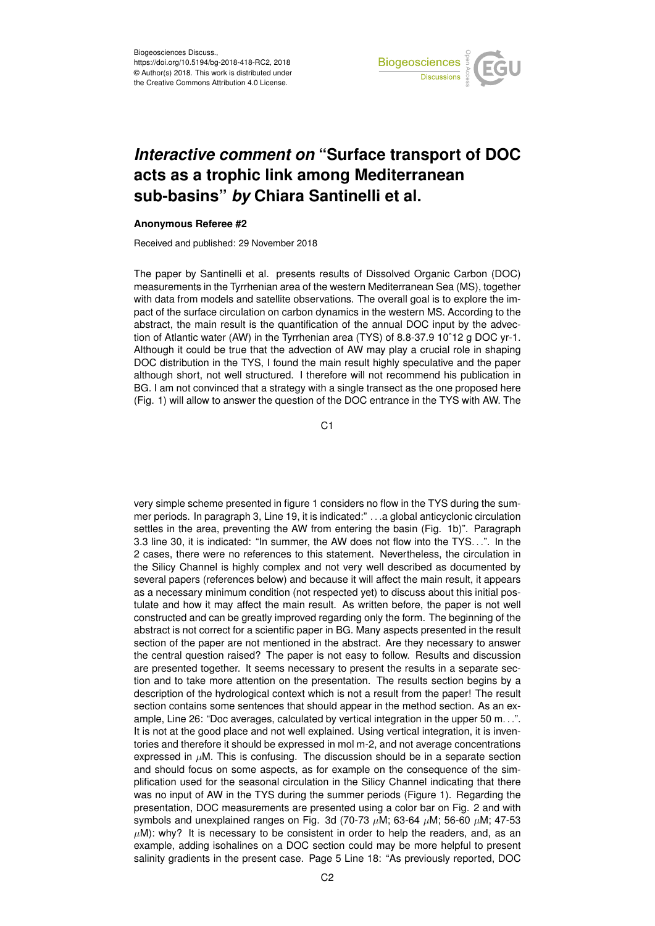

## *Interactive comment on* **"Surface transport of DOC acts as a trophic link among Mediterranean sub-basins"** *by* **Chiara Santinelli et al.**

## **Anonymous Referee #2**

Received and published: 29 November 2018

The paper by Santinelli et al. presents results of Dissolved Organic Carbon (DOC) measurements in the Tyrrhenian area of the western Mediterranean Sea (MS), together with data from models and satellite observations. The overall goal is to explore the impact of the surface circulation on carbon dynamics in the western MS. According to the abstract, the main result is the quantification of the annual DOC input by the advection of Atlantic water (AW) in the Tyrrhenian area (TYS) of 8.8-37.9 10ˆ12 g DOC yr-1. Although it could be true that the advection of AW may play a crucial role in shaping DOC distribution in the TYS, I found the main result highly speculative and the paper although short, not well structured. I therefore will not recommend his publication in BG. I am not convinced that a strategy with a single transect as the one proposed here (Fig. 1) will allow to answer the question of the DOC entrance in the TYS with AW. The

C<sub>1</sub>

very simple scheme presented in figure 1 considers no flow in the TYS during the summer periods. In paragraph 3, Line 19, it is indicated:" . . .a global anticyclonic circulation settles in the area, preventing the AW from entering the basin (Fig. 1b)". Paragraph 3.3 line 30, it is indicated: "In summer, the AW does not flow into the TYS. . .". In the 2 cases, there were no references to this statement. Nevertheless, the circulation in the Silicy Channel is highly complex and not very well described as documented by several papers (references below) and because it will affect the main result, it appears as a necessary minimum condition (not respected yet) to discuss about this initial postulate and how it may affect the main result. As written before, the paper is not well constructed and can be greatly improved regarding only the form. The beginning of the abstract is not correct for a scientific paper in BG. Many aspects presented in the result section of the paper are not mentioned in the abstract. Are they necessary to answer the central question raised? The paper is not easy to follow. Results and discussion are presented together. It seems necessary to present the results in a separate section and to take more attention on the presentation. The results section begins by a description of the hydrological context which is not a result from the paper! The result section contains some sentences that should appear in the method section. As an example, Line 26: "Doc averages, calculated by vertical integration in the upper 50 m. . .". It is not at the good place and not well explained. Using vertical integration, it is inventories and therefore it should be expressed in mol m-2, and not average concentrations expressed in  $\mu$ M. This is confusing. The discussion should be in a separate section and should focus on some aspects, as for example on the consequence of the simplification used for the seasonal circulation in the Silicy Channel indicating that there was no input of AW in the TYS during the summer periods (Figure 1). Regarding the presentation, DOC measurements are presented using a color bar on Fig. 2 and with symbols and unexplained ranges on Fig. 3d (70-73  $\mu$ M; 63-64  $\mu$ M; 56-60  $\mu$ M; 47-53  $\mu$ M): why? It is necessary to be consistent in order to help the readers, and, as an example, adding isohalines on a DOC section could may be more helpful to present salinity gradients in the present case. Page 5 Line 18: "As previously reported, DOC